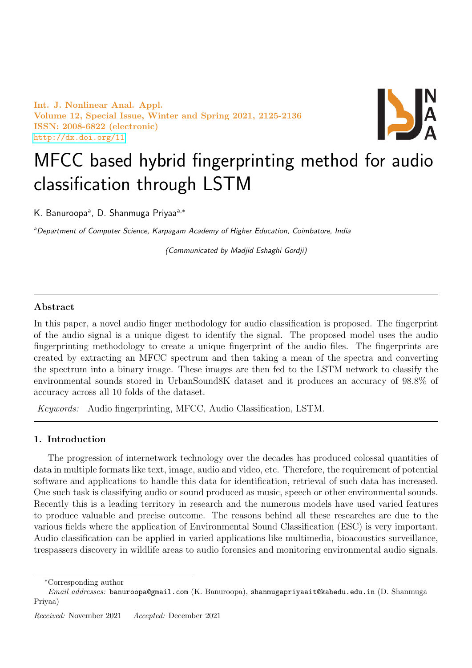Int. J. Nonlinear Anal. Appl. Volume 12, Special Issue, Winter and Spring 2021, 2125-2136 ISSN: 2008-6822 (electronic) <http://dx.doi.org/11>



# MFCC based hybrid fingerprinting method for audio classification through LSTM

K. Banuroopa<sup>a</sup>, D. Shanmuga Priyaa<sup>a,\*</sup>

aDepartment of Computer Science, Karpagam Academy of Higher Education, Coimbatore, India

(Communicated by Madjid Eshaghi Gordji)

## Abstract

In this paper, a novel audio finger methodology for audio classification is proposed. The fingerprint of the audio signal is a unique digest to identify the signal. The proposed model uses the audio fingerprinting methodology to create a unique fingerprint of the audio files. The fingerprints are created by extracting an MFCC spectrum and then taking a mean of the spectra and converting the spectrum into a binary image. These images are then fed to the LSTM network to classify the environmental sounds stored in UrbanSound8K dataset and it produces an accuracy of 98.8% of accuracy across all 10 folds of the dataset.

Keywords: Audio fingerprinting, MFCC, Audio Classification, LSTM.

## 1. Introduction

The progression of internetwork technology over the decades has produced colossal quantities of data in multiple formats like text, image, audio and video, etc. Therefore, the requirement of potential software and applications to handle this data for identification, retrieval of such data has increased. One such task is classifying audio or sound produced as music, speech or other environmental sounds. Recently this is a leading territory in research and the numerous models have used varied features to produce valuable and precise outcome. The reasons behind all these researches are due to the various fields where the application of Environmental Sound Classification (ESC) is very important. Audio classification can be applied in varied applications like multimedia, bioacoustics surveillance, trespassers discovery in wildlife areas to audio forensics and monitoring environmental audio signals.

<sup>∗</sup>Corresponding author

 $Email \ addresses:$  banuroopa@gmail.com (K. Banuroopa), shanmugapriyaait@kahedu.edu.in (D. Shanmuga Priyaa)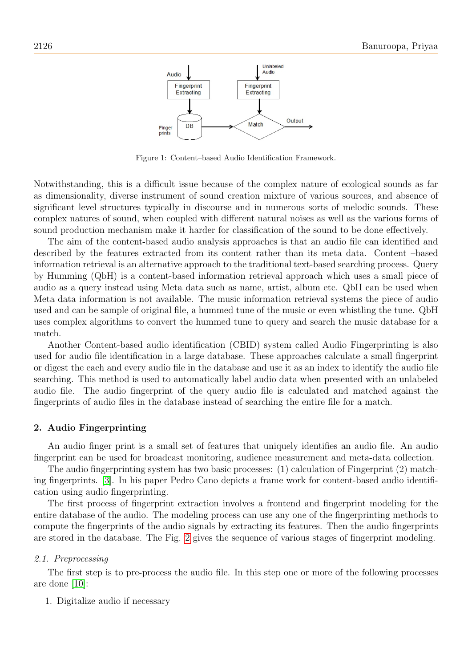

Figure 1: Content–based Audio Identification Framework.

Notwithstanding, this is a difficult issue because of the complex nature of ecological sounds as far as dimensionality, diverse instrument of sound creation mixture of various sources, and absence of significant level structures typically in discourse and in numerous sorts of melodic sounds. These complex natures of sound, when coupled with different natural noises as well as the various forms of sound production mechanism make it harder for classification of the sound to be done effectively.

The aim of the content-based audio analysis approaches is that an audio file can identified and described by the features extracted from its content rather than its meta data. Content –based information retrieval is an alternative approach to the traditional text-based searching process. Query by Humming (QbH) is a content-based information retrieval approach which uses a small piece of audio as a query instead using Meta data such as name, artist, album etc. QbH can be used when Meta data information is not available. The music information retrieval systems the piece of audio used and can be sample of original file, a hummed tune of the music or even whistling the tune. QbH uses complex algorithms to convert the hummed tune to query and search the music database for a match.

Another Content-based audio identification (CBID) system called Audio Fingerprinting is also used for audio file identification in a large database. These approaches calculate a small fingerprint or digest the each and every audio file in the database and use it as an index to identify the audio file searching. This method is used to automatically label audio data when presented with an unlabeled audio file. The audio fingerprint of the query audio file is calculated and matched against the fingerprints of audio files in the database instead of searching the entire file for a match.

#### 2. Audio Fingerprinting

An audio finger print is a small set of features that uniquely identifies an audio file. An audio fingerprint can be used for broadcast monitoring, audience measurement and meta-data collection.

The audio fingerprinting system has two basic processes: (1) calculation of Fingerprint (2) matching fingerprints. [\[3\]](#page-10-0). In his paper Pedro Cano depicts a frame work for content-based audio identification using audio fingerprinting.

The first process of fingerprint extraction involves a frontend and fingerprint modeling for the entire database of the audio. The modeling process can use any one of the fingerprinting methods to compute the fingerprints of the audio signals by extracting its features. Then the audio fingerprints are stored in the database. The Fig. [2](#page-2-0) gives the sequence of various stages of fingerprint modeling.

#### 2.1. Preprocessing

The first step is to pre-process the audio file. In this step one or more of the following processes are done [\[10\]](#page-10-1):

#### 1. Digitalize audio if necessary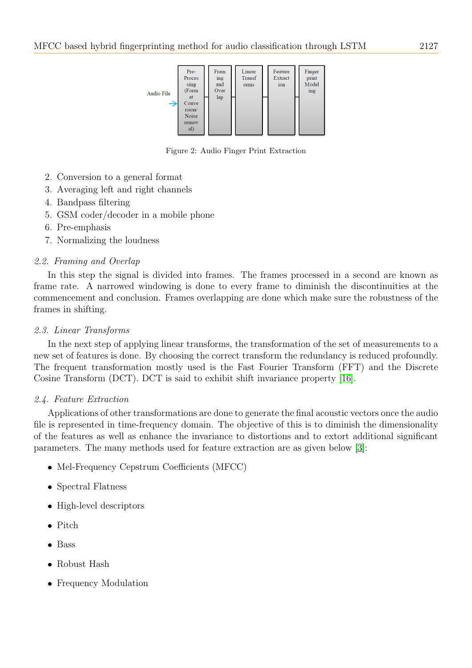

<span id="page-2-0"></span>Figure 2: Audio Finger Print Extraction

- 2. Conversion to a general format
- 3. Averaging left and right channels
- 4. Bandpass filtering
- 5. GSM coder/decoder in a mobile phone
- 6. Pre-emphasis
- 7. Normalizing the loudness

# 2.2. Framing and Overlap

In this step the signal is divided into frames. The frames processed in a second are known as frame rate. A narrowed windowing is done to every frame to diminish the discontinuities at the commencement and conclusion. Frames overlapping are done which make sure the robustness of the frames in shifting.

# 2.3. Linear Transforms

In the next step of applying linear transforms, the transformation of the set of measurements to a new set of features is done. By choosing the correct transform the redundancy is reduced profoundly. The frequent transformation mostly used is the Fast Fourier Transform (FFT) and the Discrete Cosine Transform (DCT). DCT is said to exhibit shift invariance property [\[16\]](#page-10-2).

# 2.4. Feature Extraction

Applications of other transformations are done to generate the final acoustic vectors once the audio file is represented in time-frequency domain. The objective of this is to diminish the dimensionality of the features as well as enhance the invariance to distortions and to extort additional significant parameters. The many methods used for feature extraction are as given below [\[3\]](#page-10-0):

- Mel-Frequency Cepstrum Coefficients (MFCC)
- Spectral Flatness
- High-level descriptors
- $\bullet$  Pitch
- $\overline{\phantom{0}}$ Bass
- $\overline{\phantom{0}}$ Robust Hash
- Frequency Modulation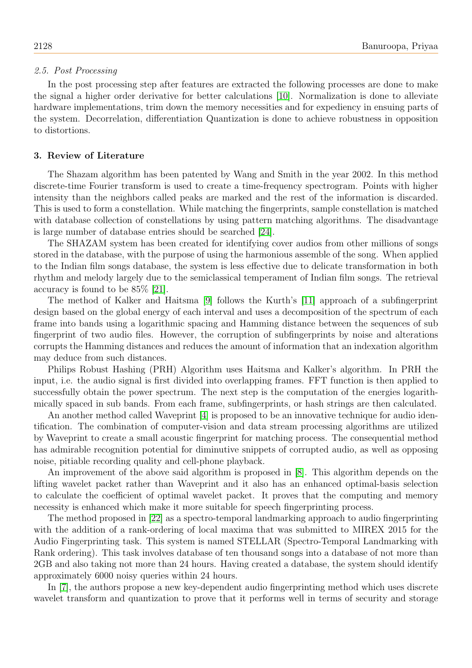#### 2.5. Post Processing

In the post processing step after features are extracted the following processes are done to make the signal a higher order derivative for better calculations [\[10\]](#page-10-1). Normalization is done to alleviate hardware implementations, trim down the memory necessities and for expediency in ensuing parts of the system. Decorrelation, differentiation Quantization is done to achieve robustness in opposition to distortions.

#### 3. Review of Literature

The Shazam algorithm has been patented by Wang and Smith in the year 2002. In this method discrete-time Fourier transform is used to create a time-frequency spectrogram. Points with higher intensity than the neighbors called peaks are marked and the rest of the information is discarded. This is used to form a constellation. While matching the fingerprints, sample constellation is matched with database collection of constellations by using pattern matching algorithms. The disadvantage is large number of database entries should be searched [\[24\]](#page-11-0).

The SHAZAM system has been created for identifying cover audios from other millions of songs stored in the database, with the purpose of using the harmonious assemble of the song. When applied to the Indian film songs database, the system is less effective due to delicate transformation in both rhythm and melody largely due to the semiclassical temperament of Indian film songs. The retrieval accuracy is found to be 85% [\[21\]](#page-10-3).

The method of Kalker and Haitsma [\[9\]](#page-10-4) follows the Kurth's [\[11\]](#page-10-5) approach of a subfingerprint design based on the global energy of each interval and uses a decomposition of the spectrum of each frame into bands using a logarithmic spacing and Hamming distance between the sequences of sub fingerprint of two audio files. However, the corruption of subfingerprints by noise and alterations corrupts the Hamming distances and reduces the amount of information that an indexation algorithm may deduce from such distances.

Philips Robust Hashing (PRH) Algorithm uses Haitsma and Kalker's algorithm. In PRH the input, i.e. the audio signal is first divided into overlapping frames. FFT function is then applied to successfully obtain the power spectrum. The next step is the computation of the energies logarithmically spaced in sub bands. From each frame, subfingerprints, or hash strings are then calculated.

An another method called Waveprint [\[4\]](#page-10-6) is proposed to be an innovative technique for audio identification. The combination of computer-vision and data stream processing algorithms are utilized by Waveprint to create a small acoustic fingerprint for matching process. The consequential method has admirable recognition potential for diminutive snippets of corrupted audio, as well as opposing noise, pitiable recording quality and cell-phone playback.

An improvement of the above said algorithm is proposed in [\[8\]](#page-10-7). This algorithm depends on the lifting wavelet packet rather than Waveprint and it also has an enhanced optimal-basis selection to calculate the coefficient of optimal wavelet packet. It proves that the computing and memory necessity is enhanced which make it more suitable for speech fingerprinting process.

The method proposed in [\[22\]](#page-10-8) as a spectro-temporal landmarking approach to audio fingerprinting with the addition of a rank-ordering of local maxima that was submitted to MIREX 2015 for the Audio Fingerprinting task. This system is named STELLAR (Spectro-Temporal Landmarking with Rank ordering). This task involves database of ten thousand songs into a database of not more than 2GB and also taking not more than 24 hours. Having created a database, the system should identify approximately 6000 noisy queries within 24 hours.

In [\[7\]](#page-10-9), the authors propose a new key-dependent audio fingerprinting method which uses discrete wavelet transform and quantization to prove that it performs well in terms of security and storage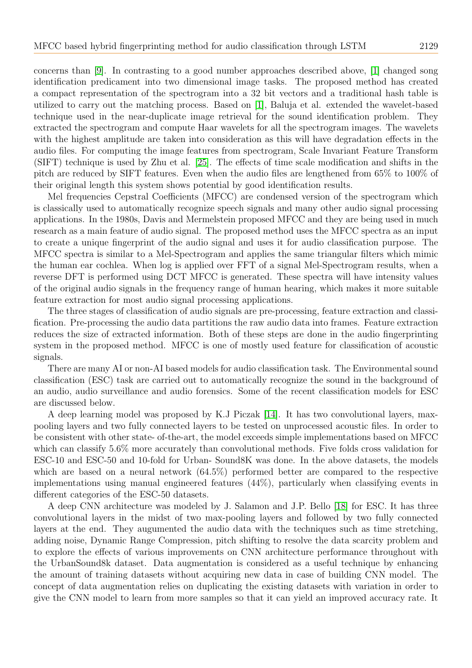concerns than [\[9\]](#page-10-4). In contrasting to a good number approaches described above, [\[1\]](#page-10-10) changed song identification predicament into two dimensional image tasks. The proposed method has created a compact representation of the spectrogram into a 32 bit vectors and a traditional hash table is utilized to carry out the matching process. Based on [\[1\]](#page-10-10), Baluja et al. extended the wavelet-based technique used in the near-duplicate image retrieval for the sound identification problem. They extracted the spectrogram and compute Haar wavelets for all the spectrogram images. The wavelets with the highest amplitude are taken into consideration as this will have degradation effects in the audio files. For computing the image features from spectrogram, Scale Invariant Feature Transform (SIFT) technique is used by Zhu et al. [\[25\]](#page-11-1). The effects of time scale modification and shifts in the pitch are reduced by SIFT features. Even when the audio files are lengthened from 65% to 100% of their original length this system shows potential by good identification results.

Mel frequencies Cepstral Coefficients (MFCC) are condensed version of the spectrogram which is classically used to automatically recognize speech signals and many other audio signal processing applications. In the 1980s, Davis and Mermelstein proposed MFCC and they are being used in much research as a main feature of audio signal. The proposed method uses the MFCC spectra as an input to create a unique fingerprint of the audio signal and uses it for audio classification purpose. The MFCC spectra is similar to a Mel-Spectrogram and applies the same triangular filters which mimic the human ear cochlea. When log is applied over FFT of a signal Mel-Spectrogram results, when a reverse DFT is performed using DCT MFCC is generated. These spectra will have intensity values of the original audio signals in the frequency range of human hearing, which makes it more suitable feature extraction for most audio signal processing applications.

The three stages of classification of audio signals are pre-processing, feature extraction and classification. Pre-processing the audio data partitions the raw audio data into frames. Feature extraction reduces the size of extracted information. Both of these steps are done in the audio fingerprinting system in the proposed method. MFCC is one of mostly used feature for classification of acoustic signals.

There are many AI or non-AI based models for audio classification task. The Environmental sound classification (ESC) task are carried out to automatically recognize the sound in the background of an audio, audio surveillance and audio forensics. Some of the recent classification models for ESC are discussed below.

A deep learning model was proposed by K.J Piczak [\[14\]](#page-10-11). It has two convolutional layers, maxpooling layers and two fully connected layers to be tested on unprocessed acoustic files. In order to be consistent with other state- of-the-art, the model exceeds simple implementations based on MFCC which can classify 5.6% more accurately than convolutional methods. Five folds cross validation for ESC-10 and ESC-50 and 10-fold for Urban- Sound8K was done. In the above datasets, the models which are based on a neural network (64.5%) performed better are compared to the respective implementations using manual engineered features (44%), particularly when classifying events in different categories of the ESC-50 datasets.

A deep CNN architecture was modeled by J. Salamon and J.P. Bello [\[18\]](#page-10-12) for ESC. It has three convolutional layers in the midst of two max-pooling layers and followed by two fully connected layers at the end. They augumented the audio data with the techniques such as time stretching, adding noise, Dynamic Range Compression, pitch shifting to resolve the data scarcity problem and to explore the effects of various improvements on CNN architecture performance throughout with the UrbanSound8k dataset. Data augmentation is considered as a useful technique by enhancing the amount of training datasets without acquiring new data in case of building CNN model. The concept of data augmentation relies on duplicating the existing datasets with variation in order to give the CNN model to learn from more samples so that it can yield an improved accuracy rate. It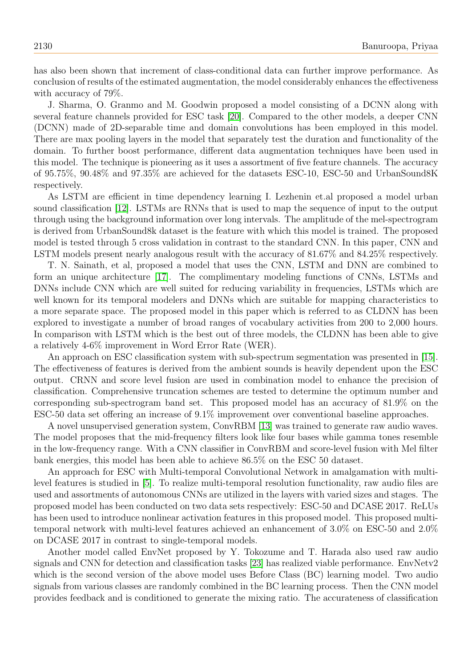has also been shown that increment of class-conditional data can further improve performance. As conclusion of results of the estimated augmentation, the model considerably enhances the effectiveness with accuracy of 79%.

J. Sharma, O. Granmo and M. Goodwin proposed a model consisting of a DCNN along with several feature channels provided for ESC task [\[20\]](#page-10-13). Compared to the other models, a deeper CNN (DCNN) made of 2D-separable time and domain convolutions has been employed in this model. There are max pooling layers in the model that separately test the duration and functionality of the domain. To further boost performance, different data augmentation techniques have been used in this model. The technique is pioneering as it uses a assortment of five feature channels. The accuracy of 95.75%, 90.48% and 97.35% are achieved for the datasets ESC-10, ESC-50 and UrbanSound8K respectively.

As LSTM are efficient in time dependency learning I. Lezhenin et.al proposed a model urban sound classification [\[12\]](#page-10-14). LSTMs are RNNs that is used to map the sequence of input to the output through using the background information over long intervals. The amplitude of the mel-spectrogram is derived from UrbanSound8k dataset is the feature with which this model is trained. The proposed model is tested through 5 cross validation in contrast to the standard CNN. In this paper, CNN and LSTM models present nearly analogous result with the accuracy of 81.67% and 84.25% respectively.

T. N. Sainath, et al, proposed a model that uses the CNN, LSTM and DNN are combined to form an unique architecture [\[17\]](#page-10-15). The complimentary modeling functions of CNNs, LSTMs and DNNs include CNN which are well suited for reducing variability in frequencies, LSTMs which are well known for its temporal modelers and DNNs which are suitable for mapping characteristics to a more separate space. The proposed model in this paper which is referred to as CLDNN has been explored to investigate a number of broad ranges of vocabulary activities from 200 to 2,000 hours. In comparison with LSTM which is the best out of three models, the CLDNN has been able to give a relatively 4-6% improvement in Word Error Rate (WER).

An approach on ESC classification system with sub-spectrum segmentation was presented in [\[15\]](#page-10-16). The effectiveness of features is derived from the ambient sounds is heavily dependent upon the ESC output. CRNN and score level fusion are used in combination model to enhance the precision of classification. Comprehensive truncation schemes are tested to determine the optimum number and corresponding sub-spectrogram band set. This proposed model has an accuracy of 81.9% on the ESC-50 data set offering an increase of 9.1% improvement over conventional baseline approaches.

A novel unsupervised generation system, ConvRBM [\[13\]](#page-10-17) was trained to generate raw audio waves. The model proposes that the mid-frequency filters look like four bases while gamma tones resemble in the low-frequency range. With a CNN classifier in ConvRBM and score-level fusion with Mel filter bank energies, this model has been able to achieve 86.5% on the ESC 50 dataset.

An approach for ESC with Multi-temporal Convolutional Network in amalgamation with multilevel features is studied in [\[5\]](#page-10-18). To realize multi-temporal resolution functionality, raw audio files are used and assortments of autonomous CNNs are utilized in the layers with varied sizes and stages. The proposed model has been conducted on two data sets respectively: ESC-50 and DCASE 2017. ReLUs has been used to introduce nonlinear activation features in this proposed model. This proposed multitemporal network with multi-level features achieved an enhancement of 3.0% on ESC-50 and 2.0% on DCASE 2017 in contrast to single-temporal models.

Another model called EnvNet proposed by Y. Tokozume and T. Harada also used raw audio signals and CNN for detection and classification tasks [\[23\]](#page-11-2) has realized viable performance. EnvNetv2 which is the second version of the above model uses Before Class (BC) learning model. Two audio signals from various classes are randomly combined in the BC learning process. Then the CNN model provides feedback and is conditioned to generate the mixing ratio. The accurateness of classification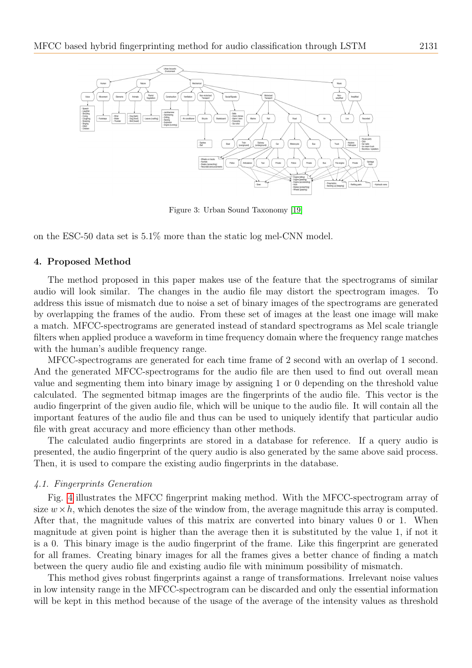

Figure 3: Urban Sound Taxonomy [\[19\]](#page-10-19)

on the ESC-50 data set is 5.1% more than the static log mel-CNN model.

#### 4. Proposed Method

The method proposed in this paper makes use of the feature that the spectrograms of similar audio will look similar. The changes in the audio file may distort the spectrogram images. To address this issue of mismatch due to noise a set of binary images of the spectrograms are generated by overlapping the frames of the audio. From these set of images at the least one image will make a match. MFCC-spectrograms are generated instead of standard spectrograms as Mel scale triangle filters when applied produce a waveform in time frequency domain where the frequency range matches with the human's audible frequency range.

MFCC-spectrograms are generated for each time frame of 2 second with an overlap of 1 second. And the generated MFCC-spectrograms for the audio file are then used to find out overall mean value and segmenting them into binary image by assigning 1 or 0 depending on the threshold value calculated. The segmented bitmap images are the fingerprints of the audio file. This vector is the audio fingerprint of the given audio file, which will be unique to the audio file. It will contain all the important features of the audio file and thus can be used to uniquely identify that particular audio file with great accuracy and more efficiency than other methods.

The calculated audio fingerprints are stored in a database for reference. If a query audio is presented, the audio fingerprint of the query audio is also generated by the same above said process. Then, it is used to compare the existing audio fingerprints in the database.

#### 4.1. Fingerprints Generation

Fig. [4](#page-7-0) illustrates the MFCC fingerprint making method. With the MFCC-spectrogram array of size  $w \times h$ , which denotes the size of the window from, the average magnitude this array is computed. After that, the magnitude values of this matrix are converted into binary values 0 or 1. When magnitude at given point is higher than the average then it is substituted by the value 1, if not it is a 0. This binary image is the audio fingerprint of the frame. Like this fingerprint are generated for all frames. Creating binary images for all the frames gives a better chance of finding a match between the query audio file and existing audio file with minimum possibility of mismatch.

This method gives robust fingerprints against a range of transformations. Irrelevant noise values in low intensity range in the MFCC-spectrogram can be discarded and only the essential information will be kept in this method because of the usage of the average of the intensity values as threshold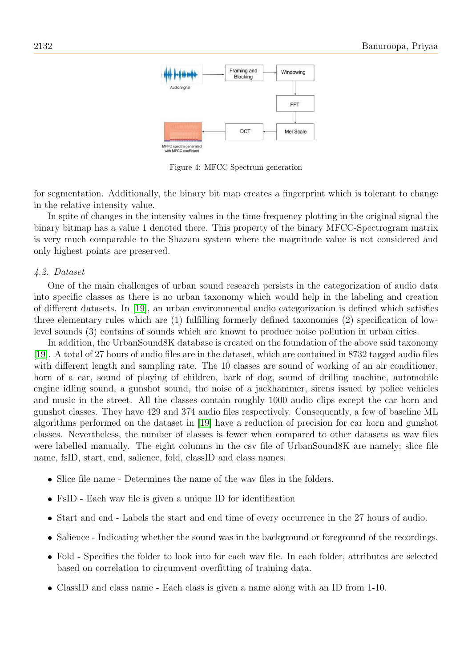

<span id="page-7-0"></span>Figure 4: MFCC Spectrum generation

for segmentation. Additionally, the binary bit map creates a fingerprint which is tolerant to change in the relative intensity value.

In spite of changes in the intensity values in the time-frequency plotting in the original signal the binary bitmap has a value 1 denoted there. This property of the binary MFCC-Spectrogram matrix is very much comparable to the Shazam system where the magnitude value is not considered and only highest points are preserved.

#### 4.2. Dataset

One of the main challenges of urban sound research persists in the categorization of audio data into specific classes as there is no urban taxonomy which would help in the labeling and creation of different datasets. In [\[19\]](#page-10-19), an urban environmental audio categorization is defined which satisfies three elementary rules which are (1) fulfilling formerly defined taxonomies (2) specification of lowlevel sounds (3) contains of sounds which are known to produce noise pollution in urban cities.

In addition, the UrbanSound8K database is created on the foundation of the above said taxonomy [\[19\]](#page-10-19). A total of 27 hours of audio files are in the dataset, which are contained in 8732 tagged audio files with different length and sampling rate. The 10 classes are sound of working of an air conditioner, horn of a car, sound of playing of children, bark of dog, sound of drilling machine, automobile engine idling sound, a gunshot sound, the noise of a jackhammer, sirens issued by police vehicles and music in the street. All the classes contain roughly 1000 audio clips except the car horn and gunshot classes. They have 429 and 374 audio files respectively. Consequently, a few of baseline ML algorithms performed on the dataset in [\[19\]](#page-10-19) have a reduction of precision for car horn and gunshot classes. Nevertheless, the number of classes is fewer when compared to other datasets as wav files were labelled manually. The eight columns in the csv file of UrbanSound8K are namely; slice file name, fsID, start, end, salience, fold, classID and class names.

- Slice file name Determines the name of the wav files in the folders.
- FsID Each wav file is given a unique ID for identification
- Start and end Labels the start and end time of every occurrence in the 27 hours of audio.
- Salience Indicating whether the sound was in the background or foreground of the recordings.
- Fold Specifies the folder to look into for each wav file. In each folder, attributes are selected based on correlation to circumvent overfitting of training data.
- ClassID and class name Each class is given a name along with an ID from 1-10.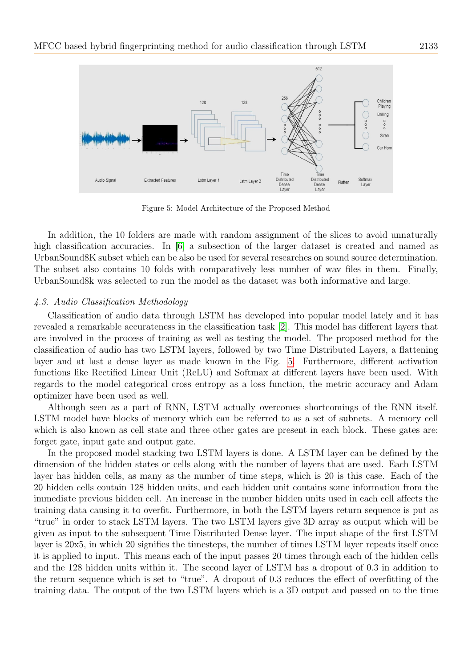

<span id="page-8-0"></span>Figure 5: Model Architecture of the Proposed Method

In addition, the 10 folders are made with random assignment of the slices to avoid unnaturally high classification accuracies. In [\[6\]](#page-10-20) a subsection of the larger dataset is created and named as UrbanSound8K subset which can be also be used for several researches on sound source determination. The subset also contains 10 folds with comparatively less number of wav files in them. Finally, UrbanSound8k was selected to run the model as the dataset was both informative and large.

## 4.3. Audio Classification Methodology

Classification of audio data through LSTM has developed into popular model lately and it has revealed a remarkable accurateness in the classification task [\[2\]](#page-10-21). This model has different layers that are involved in the process of training as well as testing the model. The proposed method for the classification of audio has two LSTM layers, followed by two Time Distributed Layers, a flattening layer and at last a dense layer as made known in the Fig. [5.](#page-8-0) Furthermore, different activation functions like Rectified Linear Unit (ReLU) and Softmax at different layers have been used. With regards to the model categorical cross entropy as a loss function, the metric accuracy and Adam optimizer have been used as well.

Although seen as a part of RNN, LSTM actually overcomes shortcomings of the RNN itself. LSTM model have blocks of memory which can be referred to as a set of subnets. A memory cell which is also known as cell state and three other gates are present in each block. These gates are: forget gate, input gate and output gate.

In the proposed model stacking two LSTM layers is done. A LSTM layer can be defined by the dimension of the hidden states or cells along with the number of layers that are used. Each LSTM layer has hidden cells, as many as the number of time steps, which is 20 is this case. Each of the 20 hidden cells contain 128 hidden units, and each hidden unit contains some information from the immediate previous hidden cell. An increase in the number hidden units used in each cell affects the training data causing it to overfit. Furthermore, in both the LSTM layers return sequence is put as "true" in order to stack LSTM layers. The two LSTM layers give 3D array as output which will be given as input to the subsequent Time Distributed Dense layer. The input shape of the first LSTM layer is 20x5, in which 20 signifies the timesteps, the number of times LSTM layer repeats itself once it is applied to input. This means each of the input passes 20 times through each of the hidden cells and the 128 hidden units within it. The second layer of LSTM has a dropout of 0.3 in addition to the return sequence which is set to "true". A dropout of 0.3 reduces the effect of overfitting of the training data. The output of the two LSTM layers which is a 3D output and passed on to the time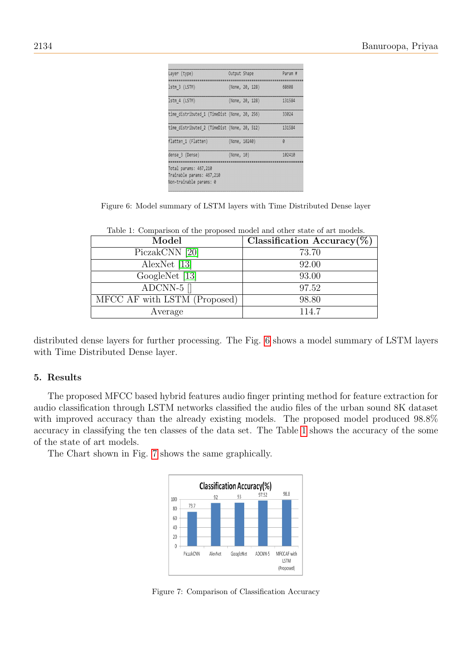| Layer (type)                                 | Output Shape |                 | Param #  |
|----------------------------------------------|--------------|-----------------|----------|
|                                              |              |                 |          |
| Istm 3 (LSTM)                                |              | (None, 20, 128) | 68608    |
| Istm 4 (LSTM)                                |              | (None, 20, 128) | 131584   |
| time distributed 1 (TimeDist (None, 20, 256) |              |                 | 33824    |
| time distributed 2 (TimeDist (None, 20, 512) |              |                 | 131584   |
| flatten 1 (Flatten)                          |              | (None, 10240)   | $\theta$ |
| dense 3 (Dense)                              | (None, 10)   |                 | 102410   |
|                                              |              |                 |          |
| Total params: 467,210                        |              |                 |          |
| Trainable params: 467,210                    |              |                 |          |
| Non-trainable params: 0                      |              |                 |          |

<span id="page-9-0"></span>

|  |  |  |  |  |  |  | Figure 6: Model summary of LSTM layers with Time Distributed Dense layer |  |  |
|--|--|--|--|--|--|--|--------------------------------------------------------------------------|--|--|
|--|--|--|--|--|--|--|--------------------------------------------------------------------------|--|--|

| Table 1. Comparison of the proposed model and other state of art models. |                                |  |  |  |
|--------------------------------------------------------------------------|--------------------------------|--|--|--|
| Model                                                                    | Classification Accuracy $(\%)$ |  |  |  |
| PiczakCNN [20]                                                           | 73.70                          |  |  |  |
| AlexNet $[13]$                                                           | 92.00                          |  |  |  |
| GoogleNet [13]                                                           | 93.00                          |  |  |  |
| ADCNN-5 $\parallel$                                                      | 97.52                          |  |  |  |
| MFCC AF with LSTM (Proposed)                                             | 98.80                          |  |  |  |
| Average                                                                  | 114.7                          |  |  |  |
|                                                                          |                                |  |  |  |

<span id="page-9-1"></span>Table 1: Comparison of the proposed model and other state of art models.

distributed dense layers for further processing. The Fig. [6](#page-9-0) shows a model summary of LSTM layers with Time Distributed Dense layer.

### 5. Results

The proposed MFCC based hybrid features audio finger printing method for feature extraction for audio classification through LSTM networks classified the audio files of the urban sound 8K dataset with improved accuracy than the already existing models. The proposed model produced 98.8% accuracy in classifying the ten classes of the data set. The Table [1](#page-9-1) shows the accuracy of the some of the state of art models.

The Chart shown in Fig. [7](#page-9-2) shows the same graphically.



<span id="page-9-2"></span>Figure 7: Comparison of Classification Accuracy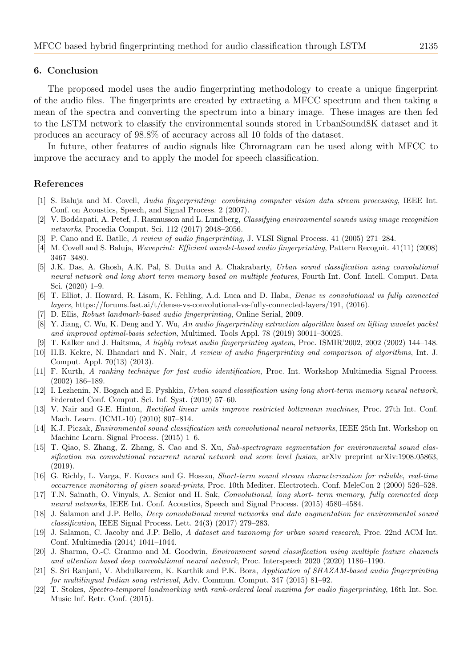#### 6. Conclusion

The proposed model uses the audio fingerprinting methodology to create a unique fingerprint of the audio files. The fingerprints are created by extracting a MFCC spectrum and then taking a mean of the spectra and converting the spectrum into a binary image. These images are then fed to the LSTM network to classify the environmental sounds stored in UrbanSound8K dataset and it produces an accuracy of 98.8% of accuracy across all 10 folds of the dataset.

In future, other features of audio signals like Chromagram can be used along with MFCC to improve the accuracy and to apply the model for speech classification.

#### References

- <span id="page-10-10"></span>[1] S. Baluja and M. Covell, Audio fingerprinting: combining computer vision data stream processing, IEEE Int. Conf. on Acoustics, Speech, and Signal Process. 2 (2007).
- <span id="page-10-21"></span>[2] V. Boddapati, A. Petef, J. Rasmusson and L. Lundberg, Classifying environmental sounds using image recognition networks, Procedia Comput. Sci. 112 (2017) 2048–2056.
- <span id="page-10-0"></span>[3] P. Cano and E. Batlle, A review of audio fingerprinting, J. VLSI Signal Process. 41 (2005) 271–284.
- <span id="page-10-6"></span>[4] M. Covell and S. Baluja, Waveprint: Efficient wavelet-based audio fingerprinting, Pattern Recognit. 41(11) (2008) 3467–3480.
- <span id="page-10-18"></span>[5] J.K. Das, A. Ghosh, A.K. Pal, S. Dutta and A. Chakrabarty, Urban sound classification using convolutional neural network and long short term memory based on multiple features, Fourth Int. Conf. Intell. Comput. Data Sci. (2020) 1–9.
- <span id="page-10-20"></span>[6] T. Elliot, J. Howard, R. Lisam, K. Fehling, A.d. Luca and D. Haba, Dense vs convolutional vs fully connected layers, https://forums.fast.ai/t/dense-vs-convolutional-vs-fully-connected-layers/191, (2016).
- <span id="page-10-9"></span>[7] D. Ellis, Robust landmark-based audio fingerprinting, Online Serial, 2009.
- <span id="page-10-7"></span>[8] Y. Jiang, C. Wu, K. Deng and Y. Wu, An audio fingerprinting extraction algorithm based on lifting wavelet packet and improved optimal-basis selection, Multimed. Tools Appl. 78 (2019) 30011–30025.
- <span id="page-10-4"></span>[9] T. Kalker and J. Haitsma, A highly robust audio fingerprinting system, Proc. ISMIR'2002, 2002 (2002) 144–148.
- <span id="page-10-1"></span>[10] H.B. Kekre, N. Bhandari and N. Nair, A review of audio fingerprinting and comparison of algorithms, Int. J. Comput. Appl. 70(13) (2013).
- <span id="page-10-5"></span>[11] F. Kurth, A ranking technique for fast audio identification, Proc. Int. Workshop Multimedia Signal Process. (2002) 186–189.
- <span id="page-10-14"></span>[12] I. Lezhenin, N. Bogach and E. Pyshkin, Urban sound classification using long short-term memory neural network, Federated Conf. Comput. Sci. Inf. Syst. (2019) 57–60.
- <span id="page-10-17"></span>[13] V. Nair and G.E. Hinton, Rectified linear units improve restricted boltzmann machines, Proc. 27th Int. Conf. Mach. Learn. (ICML-10) (2010) 807–814.
- <span id="page-10-11"></span>[14] K.J. Piczak, Environmental sound classification with convolutional neural networks, IEEE 25th Int. Workshop on Machine Learn. Signal Process. (2015) 1–6.
- <span id="page-10-16"></span>[15] T. Qiao, S. Zhang, Z. Zhang, S. Cao and S. Xu, Sub-spectrogram segmentation for environmental sound classification via convolutional recurrent neural network and score level fusion, arXiv preprint arXiv:1908.05863, (2019).
- <span id="page-10-2"></span>[16] G. Richly, L. Varga, F. Kovacs and G. Hosszu, Short-term sound stream characterization for reliable, real-time occurrence monitoring of given sound-prints, Proc. 10th Mediter. Electrotech. Conf. MeleCon 2 (2000) 526–528.
- <span id="page-10-15"></span>[17] T.N. Sainath, O. Vinyals, A. Senior and H. Sak, Convolutional, long short- term memory, fully connected deep neural networks, IEEE Int. Conf. Acoustics, Speech and Signal Process. (2015) 4580–4584.
- <span id="page-10-12"></span>[18] J. Salamon and J.P. Bello, Deep convolutional neural networks and data augmentation for environmental sound classification, IEEE Signal Process. Lett. 24(3) (2017) 279–283.
- <span id="page-10-19"></span>[19] J. Salamon, C. Jacoby and J.P. Bello, A dataset and taxonomy for urban sound research, Proc. 22nd ACM Int. Conf. Multimedia (2014) 1041–1044.
- <span id="page-10-13"></span>[20] J. Sharma, O.-C. Granmo and M. Goodwin, Environment sound classification using multiple feature channels and attention based deep convolutional neural network, Proc. Interspeech 2020 (2020) 1186–1190.
- <span id="page-10-3"></span>[21] S. Sri Ranjani, V. Abdulkareem, K. Karthik and P.K. Bora, Application of SHAZAM-based audio fingerprinting for multilingual Indian song retrieval, Adv. Commun. Comput. 347 (2015) 81–92.
- <span id="page-10-8"></span>[22] T. Stokes, Spectro-temporal landmarking with rank-ordered local maxima for audio fingerprinting, 16th Int. Soc. Music Inf. Retr. Conf. (2015).